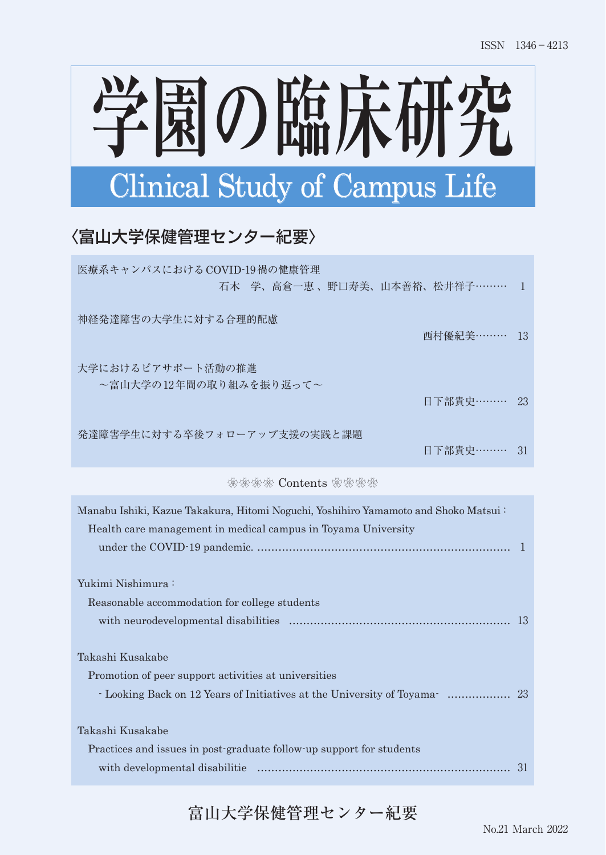

## 〈富山大学保健管理センター紀要〉

| 医療系キャンパスにおける COVID-19禍の健康管理<br>石木 学、高倉一恵、野口寿美、山本善裕、松井祥子……… 1 |  |
|--------------------------------------------------------------|--|
| 神経発達障害の大学生に対する合理的配慮<br>西村優紀美……… 13                           |  |
| 大学におけるピアサポート活動の推進<br>~富山大学の12年間の取り組みを振り返って~<br>日下部貴史……… 23   |  |
| 発達障害学生に対する卒後フォローアップ支援の実践と課題<br>日下部貴史……… 31                   |  |

#### ❀ ❀ ❀ ❀   Contents   ❀ ❀ ❀ ❀

| Manabu Ishiki, Kazue Takakura, Hitomi Noguchi, Yoshihiro Yamamoto and Shoko Matsui: |  |
|-------------------------------------------------------------------------------------|--|
| Health care management in medical campus in Toyama University                       |  |
|                                                                                     |  |
|                                                                                     |  |
| Yukimi Nishimura :                                                                  |  |
| Reasonable accommodation for college students                                       |  |
|                                                                                     |  |
|                                                                                     |  |
| Takashi Kusakabe                                                                    |  |
| Promotion of peer support activities at universities                                |  |
| - Looking Back on 12 Years of Initiatives at the University of Toyama manu-         |  |
| Takashi Kusakabe                                                                    |  |
|                                                                                     |  |
| Practices and issues in post-graduate follow-up support for students                |  |
|                                                                                     |  |
|                                                                                     |  |

### 富山大学保健管理センター紀要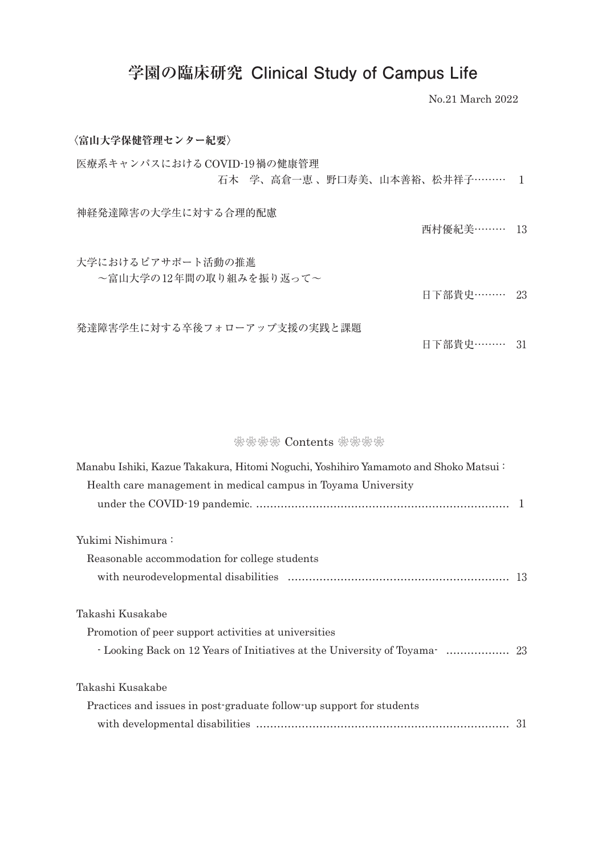# **学園の臨床研究 Clinical Study of Campus Life**

No.21 March 2022

| 〈富山大学保健管理センター紀要〉                                            |    |
|-------------------------------------------------------------|----|
| 医療系キャンパスにおける COVID-19禍の健康管理<br>石木 学、高倉一恵 、野口寿美、山本善裕、松井祥子……… | -1 |
| 神経発達障害の大学生に対する合理的配慮<br>西村優紀美……… 13                          |    |
| 大学におけるピアサポート活動の推進<br>~富山大学の12年間の取り組みを振り返って~<br>日下部貴史……… 23  |    |
| 発達障害学生に対する卒後フォローアップ支援の実践と課題<br>日下部貴史……… 31                  |    |
|                                                             |    |

#### ❀ ❀ ❀ ❀   Contents   ❀ ❀ ❀ ❀

| Manabu Ishiki, Kazue Takakura, Hitomi Noguchi, Yoshihiro Yamamoto and Shoko Matsui:   |  |
|---------------------------------------------------------------------------------------|--|
| Health care management in medical campus in Toyama University                         |  |
|                                                                                       |  |
| Yukimi Nishimura :                                                                    |  |
| Reasonable accommodation for college students                                         |  |
|                                                                                       |  |
| Takashi Kusakabe                                                                      |  |
| Promotion of peer support activities at universities                                  |  |
| - Looking Back on 12 Years of Initiatives at the University of Toyama material and 23 |  |
| Takashi Kusakabe                                                                      |  |
| Practices and issues in post-graduate follow-up support for students                  |  |
|                                                                                       |  |